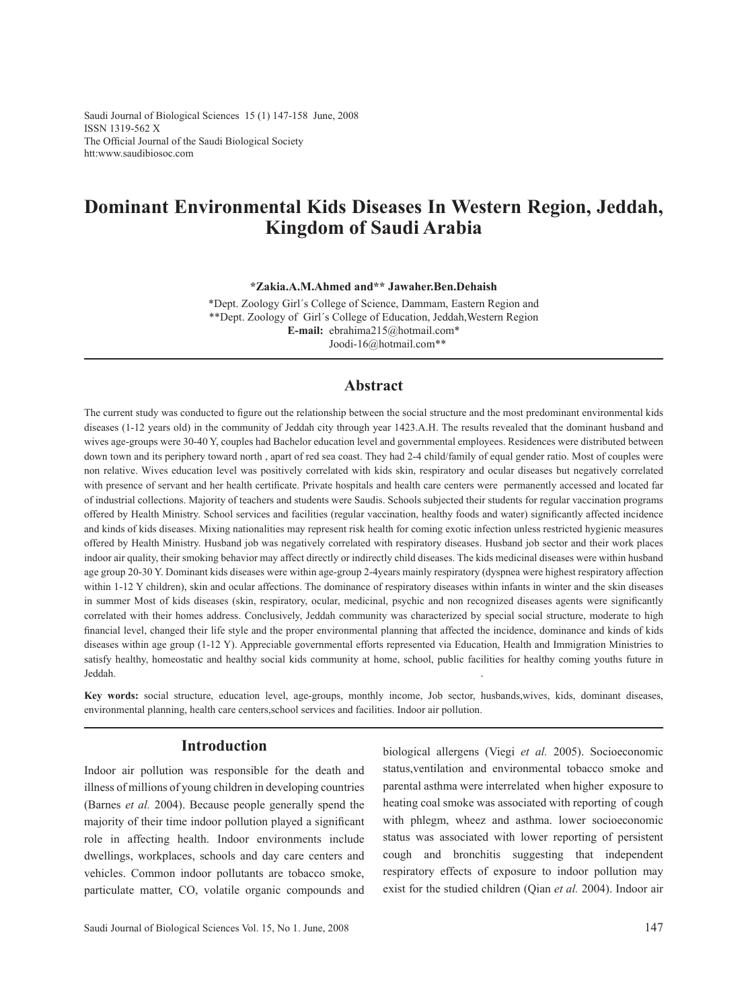Saudi Journal of Biological Sciences 15 (1) 147-158 June, 2008 ISSN 1319-562 X The Official Journal of the Saudi Biological Society htt:www.saudibiosoc.com

# **Dominant Environmental Kids Diseases In Western Region, Jeddah, Kingdom of Saudi Arabia**

**\*Zakia.A.M.Ahmed and\*\* Jawaher.Ben.Dehaish**

\*Dept. Zoology Girl΄s College of Science, Dammam, Eastern Region and \*\*Dept. Zoology of Girl΄s College of Education, Jeddah,Western Region **E-mail:** ebrahima215@hotmail.com\* Joodi-16@hotmail.com\*\*

## **Abstract**

The current study was conducted to figure out the relationship between the social structure and the most predominant environmental kids diseases (1-12 years old) in the community of Jeddah city through year 1423.A.H. The results revealed that the dominant husband and wives age-groups were 30-40 Y, couples had Bachelor education level and governmental employees. Residences were distributed between down town and its periphery toward north , apart of red sea coast. They had 2-4 child/family of equal gender ratio. Most of couples were non relative. Wives education level was positively correlated with kids skin, respiratory and ocular diseases but negatively correlated with presence of servant and her health certificate. Private hospitals and health care centers were permanently accessed and located far of industrial collections. Majority of teachers and students were Saudis. Schools subjected their students for regular vaccination programs offered by Health Ministry. School services and facilities (regular vaccination, healthy foods and water) significantly affected incidence and kinds of kids diseases. Mixing nationalities may represent risk health for coming exotic infection unless restricted hygienic measures offered by Health Ministry. Husband job was negatively correlated with respiratory diseases. Husband job sector and their work places indoor air quality, their smoking behavior may affect directly or indirectly child diseases. The kids medicinal diseases were within husband age group 20-30 Y. Dominant kids diseases were within age-group 2-4years mainly respiratory (dyspnea were highest respiratory affection within 1-12 Y children), skin and ocular affections. The dominance of respiratory diseases within infants in winter and the skin diseases in summer Most of kids diseases (skin, respiratory, ocular, medicinal, psychic and non recognized diseases agents were significantly correlated with their homes address. Conclusively, Jeddah community was characterized by special social structure, moderate to high financial level, changed their life style and the proper environmental planning that affected the incidence, dominance and kinds of kids diseases within age group (1-12 Y). Appreciable governmental efforts represented via Education, Health and Immigration Ministries to satisfy healthy, homeostatic and healthy social kids community at home, school, public facilities for healthy coming youths future in Jeddah. .

**Key words:** social structure, education level, age-groups, monthly income, Job sector, husbands,wives, kids, dominant diseases, environmental planning, health care centers,school services and facilities. Indoor air pollution.

### **Introduction**

Indoor air pollution was responsible for the death and illness of millions of young children in developing countries (Barnes *et al.* 2004). Because people generally spend the majority of their time indoor pollution played a significant role in affecting health. Indoor environments include dwellings, workplaces, schools and day care centers and vehicles. Common indoor pollutants are tobacco smoke, particulate matter, CO, volatile organic compounds and

biological allergens (Viegi *et al.* 2005). Socioeconomic status,ventilation and environmental tobacco smoke and parental asthma were interrelated when higher exposure to heating coal smoke was associated with reporting of cough with phlegm, wheez and asthma. lower socioeconomic status was associated with lower reporting of persistent cough and bronchitis suggesting that independent respiratory effects of exposure to indoor pollution may exist for the studied children (Qian *et al.* 2004). Indoor air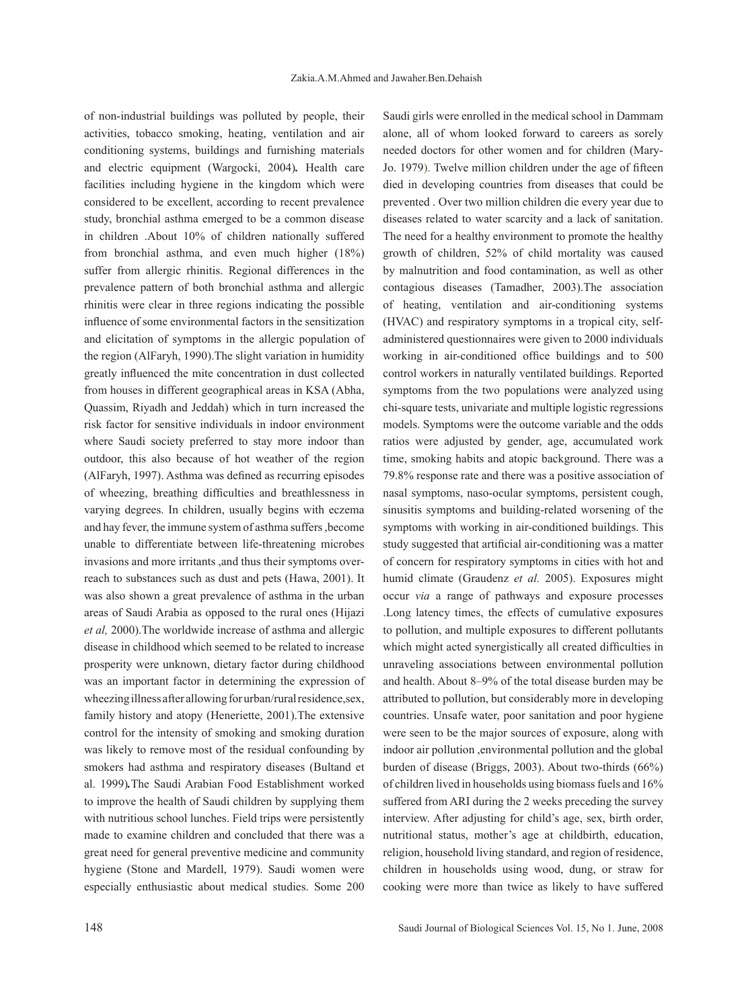of non-industrial buildings was polluted by people, their activities, tobacco smoking, heating, ventilation and air conditioning systems, buildings and furnishing materials and electric equipment (Wargocki, 2004)*.* Health care facilities including hygiene in the kingdom which were considered to be excellent, according to recent prevalence study, bronchial asthma emerged to be a common disease in children .About 10% of children nationally suffered from bronchial asthma, and even much higher (18%) suffer from allergic rhinitis. Regional differences in the prevalence pattern of both bronchial asthma and allergic rhinitis were clear in three regions indicating the possible influence of some environmental factors in the sensitization and elicitation of symptoms in the allergic population of the region (AlFaryh, 1990).The slight variation in humidity greatly influenced the mite concentration in dust collected from houses in different geographical areas in KSA (Abha, Quassim, Riyadh and Jeddah) which in turn increased the risk factor for sensitive individuals in indoor environment where Saudi society preferred to stay more indoor than outdoor, this also because of hot weather of the region (AlFaryh, 1997). Asthma was defined as recurring episodes of wheezing, breathing difficulties and breathlessness in varying degrees. In children, usually begins with eczema and hay fever, the immune system of asthma suffers ,become unable to differentiate between life-threatening microbes invasions and more irritants ,and thus their symptoms overreach to substances such as dust and pets (Hawa, 2001). It was also shown a great prevalence of asthma in the urban areas of Saudi Arabia as opposed to the rural ones (Hijazi *et al,* 2000).The worldwide increase of asthma and allergic disease in childhood which seemed to be related to increase prosperity were unknown, dietary factor during childhood was an important factor in determining the expression of wheezing illness after allowing for urban/rural residence,sex, family history and atopy (Heneriette, 2001).The extensive control for the intensity of smoking and smoking duration was likely to remove most of the residual confounding by smokers had asthma and respiratory diseases (Bultand et al. 1999)*.*The Saudi Arabian Food Establishment worked to improve the health of Saudi children by supplying them with nutritious school lunches. Field trips were persistently made to examine children and concluded that there was a great need for general preventive medicine and community hygiene (Stone and Mardell, 1979). Saudi women were especially enthusiastic about medical studies. Some 200

Saudi girls were enrolled in the medical school in Dammam alone, all of whom looked forward to careers as sorely needed doctors for other women and for children (Mary-Jo. 1979). Twelve million children under the age of fifteen died in developing countries from diseases that could be prevented . Over two million children die every year due to diseases related to water scarcity and a lack of sanitation. The need for a healthy environment to promote the healthy growth of children, 52% of child mortality was caused by malnutrition and food contamination, as well as other contagious diseases (Tamadher, 2003).The association of heating, ventilation and air-conditioning systems (HVAC) and respiratory symptoms in a tropical city, selfadministered questionnaires were given to 2000 individuals working in air-conditioned office buildings and to 500 control workers in naturally ventilated buildings. Reported symptoms from the two populations were analyzed using chi-square tests, univariate and multiple logistic regressions models. Symptoms were the outcome variable and the odds ratios were adjusted by gender, age, accumulated work time, smoking habits and atopic background. There was a 79.8% response rate and there was a positive association of nasal symptoms, naso-ocular symptoms, persistent cough, sinusitis symptoms and building-related worsening of the symptoms with working in air-conditioned buildings. This study suggested that artificial air-conditioning was a matter of concern for respiratory symptoms in cities with hot and humid climate (Graudenz *et al.* 2005). Exposures might occur *via* a range of pathways and exposure processes .Long latency times, the effects of cumulative exposures to pollution, and multiple exposures to different pollutants which might acted synergistically all created difficulties in unraveling associations between environmental pollution and health. About 8–9% of the total disease burden may be attributed to pollution, but considerably more in developing countries. Unsafe water, poor sanitation and poor hygiene were seen to be the major sources of exposure, along with indoor air pollution ,environmental pollution and the global burden of disease (Briggs, 2003). About two-thirds (66%) of children lived in households using biomass fuels and 16% suffered from ARI during the 2 weeks preceding the survey interview. After adjusting for child's age, sex, birth order, nutritional status, mother's age at childbirth, education, religion, household living standard, and region of residence, children in households using wood, dung, or straw for cooking were more than twice as likely to have suffered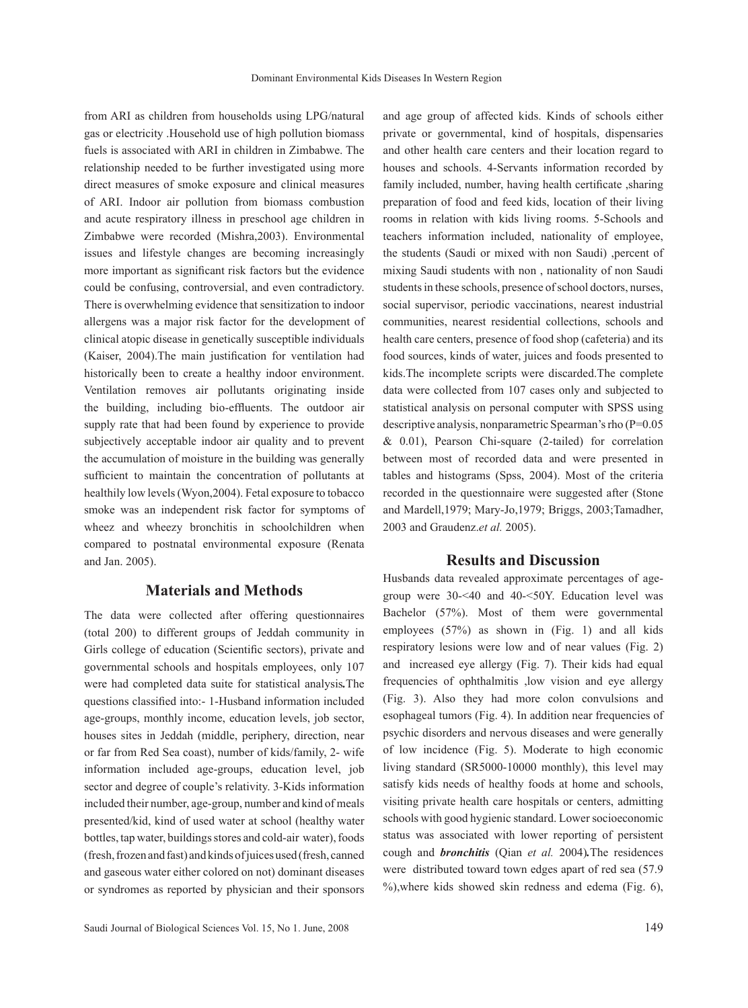from ARI as children from households using LPG/natural gas or electricity .Household use of high pollution biomass fuels is associated with ARI in children in Zimbabwe. The relationship needed to be further investigated using more direct measures of smoke exposure and clinical measures of ARI. Indoor air pollution from biomass combustion and acute respiratory illness in preschool age children in Zimbabwe were recorded (Mishra,2003). Environmental issues and lifestyle changes are becoming increasingly more important as significant risk factors but the evidence could be confusing, controversial, and even contradictory. There is overwhelming evidence that sensitization to indoor allergens was a major risk factor for the development of clinical atopic disease in genetically susceptible individuals (Kaiser, 2004).The main justification for ventilation had historically been to create a healthy indoor environment. Ventilation removes air pollutants originating inside the building, including bio-effluents. The outdoor air supply rate that had been found by experience to provide subjectively acceptable indoor air quality and to prevent the accumulation of moisture in the building was generally sufficient to maintain the concentration of pollutants at healthily low levels (Wyon,2004). Fetal exposure to tobacco smoke was an independent risk factor for symptoms of wheez and wheezy bronchitis in schoolchildren when compared to postnatal environmental exposure (Renata and Jan. 2005).

### **Materials and Methods**

The data were collected after offering questionnaires (total 200) to different groups of Jeddah community in Girls college of education (Scientific sectors), private and governmental schools and hospitals employees, only 107 were had completed data suite for statistical analysis*.*The questions classified into:- 1-Husband information included age-groups, monthly income, education levels, job sector, houses sites in Jeddah (middle, periphery, direction, near or far from Red Sea coast), number of kids/family, 2- wife information included age-groups, education level, job sector and degree of couple's relativity. 3-Kids information included their number, age-group, number and kind of meals presented/kid, kind of used water at school (healthy water bottles, tap water, buildings stores and cold-air water), foods (fresh, frozen and fast) and kinds of juices used (fresh, canned and gaseous water either colored on not) dominant diseases or syndromes as reported by physician and their sponsors

and age group of affected kids. Kinds of schools either private or governmental, kind of hospitals, dispensaries and other health care centers and their location regard to houses and schools. 4-Servants information recorded by family included, number, having health certificate ,sharing preparation of food and feed kids, location of their living rooms in relation with kids living rooms. 5-Schools and teachers information included, nationality of employee, the students (Saudi or mixed with non Saudi) ,percent of mixing Saudi students with non , nationality of non Saudi students in these schools, presence of school doctors, nurses, social supervisor, periodic vaccinations, nearest industrial communities, nearest residential collections, schools and health care centers, presence of food shop (cafeteria) and its food sources, kinds of water, juices and foods presented to kids.The incomplete scripts were discarded.The complete data were collected from 107 cases only and subjected to statistical analysis on personal computer with SPSS using descriptive analysis, nonparametric Spearman's rho (P=0.05 & 0.01), Pearson Chi-square (2-tailed) for correlation between most of recorded data and were presented in tables and histograms (Spss, 2004). Most of the criteria recorded in the questionnaire were suggested after (Stone and Mardell,1979; Mary-Jo,1979; Briggs, 2003;Tamadher, 2003 and Graudenz.*et al.* 2005).

#### **Results and Discussion**

Husbands data revealed approximate percentages of agegroup were 30-<40 and 40-<50Y. Education level was Bachelor (57%). Most of them were governmental employees (57%) as shown in (Fig. 1) and all kids respiratory lesions were low and of near values (Fig. 2) and increased eye allergy (Fig. 7). Their kids had equal frequencies of ophthalmitis ,low vision and eye allergy (Fig. 3). Also they had more colon convulsions and esophageal tumors (Fig. 4). In addition near frequencies of psychic disorders and nervous diseases and were generally of low incidence (Fig. 5). Moderate to high economic living standard (SR5000-10000 monthly), this level may satisfy kids needs of healthy foods at home and schools, visiting private health care hospitals or centers, admitting schools with good hygienic standard. Lower socioeconomic status was associated with lower reporting of persistent cough and *bronchitis* (Qian *et al.* 2004)*.*The residences were distributed toward town edges apart of red sea (57.9 %),where kids showed skin redness and edema (Fig. 6),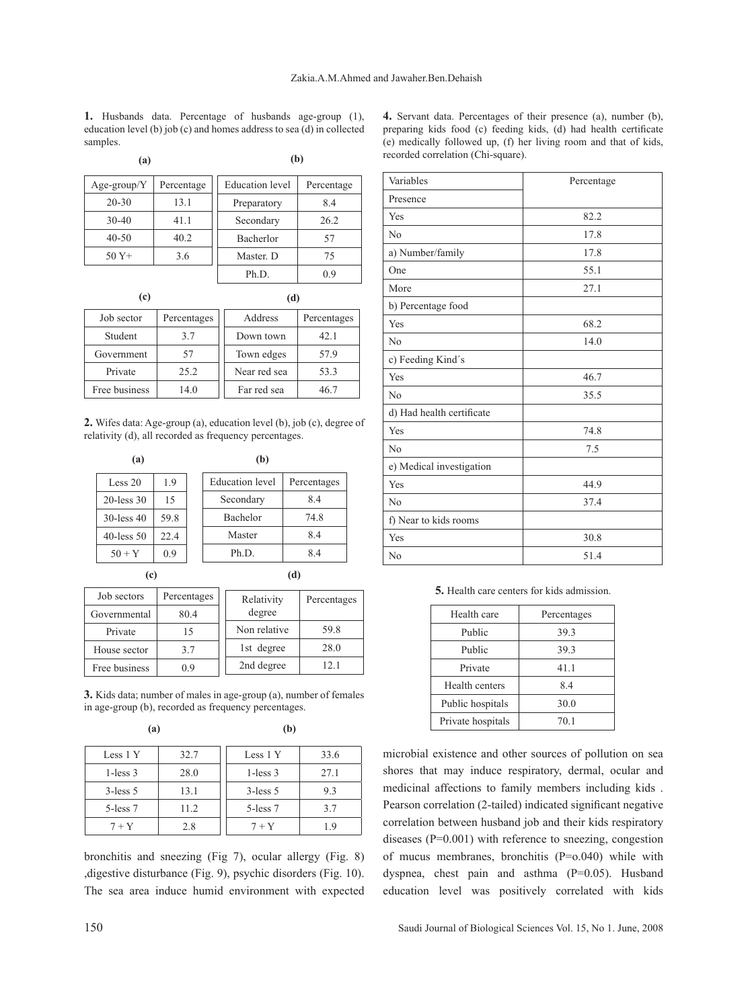**1.** Husbands data. Percentage of husbands age-group (1), education level (b) job (c) and homes address to sea (d) in collected samples.

**4.** Servant data. Percentages of their presence (a), number (b), preparing kids food (c) feeding kids, (d) had health certificate (e) medically followed up, (f) her living room and that of kids, recorded correlation (Chi-square).

| (a)           |            | (b)                    |          |  |
|---------------|------------|------------------------|----------|--|
| $Age-group/Y$ | Percentage | <b>Education</b> level | Percen   |  |
| $20 - 30$     | 13.1       | Preparatory            | 8.4      |  |
| $30 - 40$     | 41.1       | Secondary              | 26.      |  |
| $40 - 50$     | 40.2       | Bacherlor              | 57       |  |
| $50Y +$       | 3.6        | Master. D              | 75       |  |
|               |            | Ph.D.                  | $_{0.9}$ |  |

| I<br>٠ |  |
|--------|--|

Percentage  $8.4$  $26.2$ 

Ph.D. 0.9

| (c)           |             | (d)          |             |  |
|---------------|-------------|--------------|-------------|--|
| Job sector    | Percentages | Address      | Percentages |  |
| Student       | 3.7         | Down town    | 42.1        |  |
| Government    | 57          | Town edges   | 57.9        |  |
| Private       | 25.2        | Near red sea | 53.3        |  |
| Free business | 14.0        | Far red sea  | 46.7        |  |

**2.** Wifes data: Age-group (a), education level (b), job (c), degree of relativity (d), all recorded as frequency percentages.

| (a)             |      | (b) |                        |             |
|-----------------|------|-----|------------------------|-------------|
| Less $20$       | 1.9  |     | <b>Education</b> level | Percentages |
| $20$ -less $30$ | 15   |     | Secondary              | 8.4         |
| $30$ -less $40$ | 59.8 |     | Bachelor               | 74.8        |
| $40$ -less 50   | 22.4 |     | Master                 | 8.4         |
| $50 + Y$        | 0.9  |     | Ph.D.                  | 84          |
|                 |      |     |                        |             |

**(c) (d)**

| Job sectors   | Percentages | Relativity   | Percentages |
|---------------|-------------|--------------|-------------|
| Governmental  | 80.4        | degree       |             |
| Private       | 15          | Non relative | 59.8        |
| House sector  | 3.7         | 1st degree   | 28.0        |
| Free business | 09          | 2nd degree   | 12 1        |

**3.** Kids data; number of males in age-group (a), number of females in age-group (b), recorded as frequency percentages.

| (a) | (b) |  |
|-----|-----|--|
|-----|-----|--|

| Less 1 Y      | 32.7 | Less 1 Y      | 33.6 |
|---------------|------|---------------|------|
| $1$ -less $3$ | 28.0 | $1$ -less $3$ | 27.1 |
| $3$ -less 5   | 13.1 | $3$ -less 5   | 9.3  |
| $5$ -less $7$ | 112  | 5-less 7      | 37   |
| $7 + Y$       | 2.8  | $7 + Y$       |      |

bronchitis and sneezing (Fig 7), ocular allergy (Fig. 8) ,digestive disturbance (Fig. 9), psychic disorders (Fig. 10). The sea area induce humid environment with expected

| Variables                 | Percentage |
|---------------------------|------------|
| Presence                  |            |
| Yes                       | 82.2       |
| N <sub>0</sub>            | 17.8       |
| a) Number/family          | 17.8       |
| One                       | 55.1       |
| More                      | 27.1       |
| b) Percentage food        |            |
| Yes                       | 68.2       |
| No                        | 14.0       |
| c) Feeding Kind's         |            |
| Yes                       | 46.7       |
| No                        | 35.5       |
| d) Had health certificate |            |
| Yes                       | 74.8       |
| No                        | 7.5        |
| e) Medical investigation  |            |
| Yes                       | 44.9       |
| N <sub>0</sub>            | 37.4       |
| f) Near to kids rooms     |            |
| Yes                       | 30.8       |
| N <sub>o</sub>            | 51.4       |

**5.** Health care centers for kids admission.

| Health care       | Percentages |
|-------------------|-------------|
| Public            | 39.3        |
| Public            | 39.3        |
| Private           | 41.1        |
| Health centers    | 8.4         |
| Public hospitals  | 30.0        |
| Private hospitals | 70.1        |

microbial existence and other sources of pollution on sea shores that may induce respiratory, dermal, ocular and medicinal affections to family members including kids . Pearson correlation (2-tailed) indicated significant negative correlation between husband job and their kids respiratory diseases (P=0.001) with reference to sneezing, congestion of mucus membranes, bronchitis (P=o.040) while with dyspnea, chest pain and asthma (P=0.05). Husband education level was positively correlated with kids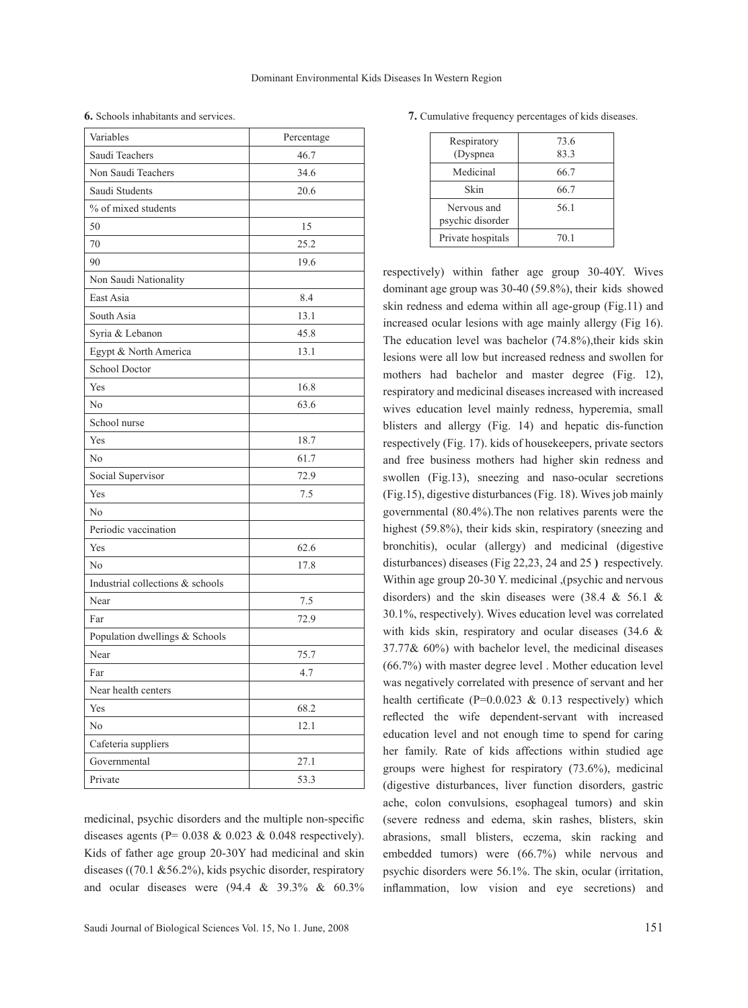| Variables                        | Percentage |
|----------------------------------|------------|
| Saudi Teachers                   | 46.7       |
| Non Saudi Teachers               | 34.6       |
| Saudi Students                   | 20.6       |
| % of mixed students              |            |
| 50                               | 15         |
| 70                               | 25.2       |
| 90                               | 19.6       |
| Non Saudi Nationality            |            |
| East Asia                        | 8.4        |
| South Asia                       | 13.1       |
| Syria & Lebanon                  | 45.8       |
| Egypt & North America            | 13.1       |
| <b>School Doctor</b>             |            |
| Yes                              | 16.8       |
| No                               | 63.6       |
| School nurse                     |            |
| Yes                              | 18.7       |
| No                               | 61.7       |
| Social Supervisor                | 72.9       |
| Yes                              | 7.5        |
| No                               |            |
| Periodic vaccination             |            |
| Yes                              | 62.6       |
| N <sub>0</sub>                   | 17.8       |
| Industrial collections & schools |            |
| Near                             | 7.5        |
| Far                              | 72.9       |
| Population dwellings & Schools   |            |
| Near                             | 75.7       |
| Far                              | 4.7        |
| Near health centers              |            |
| Yes                              | 68.2       |
| N <sub>0</sub>                   | 12.1       |
| Cafeteria suppliers              |            |
| Governmental                     | 27.1       |
| Private                          | 53.3       |

| <b>6.</b> Schools inhabitants and services. |
|---------------------------------------------|
|---------------------------------------------|

medicinal, psychic disorders and the multiple non-specific diseases agents ( $P = 0.038 \& 0.023 \& 0.048$  respectively). Kids of father age group 20-30Y had medicinal and skin diseases ((70.1 &56.2%), kids psychic disorder, respiratory and ocular diseases were (94.4 & 39.3% & 60.3%

|  |  |  | 7. Cumulative frequency percentages of kids diseases. |  |  |
|--|--|--|-------------------------------------------------------|--|--|
|--|--|--|-------------------------------------------------------|--|--|

| Respiratory<br>(Dyspnea         | 73.6<br>83.3 |
|---------------------------------|--------------|
| Medicinal                       | 66.7         |
| Skin                            | 66.7         |
| Nervous and<br>psychic disorder | 56.1         |
| Private hospitals               | 70-1         |

respectively) within father age group 30-40Y. Wives dominant age group was 30-40 (59.8%), their kids showed skin redness and edema within all age-group (Fig.11) and increased ocular lesions with age mainly allergy (Fig 16). The education level was bachelor (74.8%),their kids skin lesions were all low but increased redness and swollen for mothers had bachelor and master degree (Fig. 12), respiratory and medicinal diseases increased with increased wives education level mainly redness, hyperemia, small blisters and allergy (Fig. 14) and hepatic dis-function respectively (Fig. 17). kids of housekeepers, private sectors and free business mothers had higher skin redness and swollen (Fig.13), sneezing and naso-ocular secretions (Fig.15), digestive disturbances (Fig. 18). Wives job mainly governmental (80.4%).The non relatives parents were the highest (59.8%), their kids skin, respiratory (sneezing and bronchitis), ocular (allergy) and medicinal (digestive disturbances) diseases (Fig 22,23, 24 and 25 **)** respectively. Within age group 20-30 Y. medicinal ,(psychic and nervous disorders) and the skin diseases were (38.4 & 56.1 & 30.1%, respectively). Wives education level was correlated with kids skin, respiratory and ocular diseases (34.6 & 37.77& 60%) with bachelor level, the medicinal diseases (66.7%) with master degree level . Mother education level was negatively correlated with presence of servant and her health certificate ( $P=0.0.023 \& 0.13$  respectively) which reflected the wife dependent-servant with increased education level and not enough time to spend for caring her family. Rate of kids affections within studied age groups were highest for respiratory (73.6%), medicinal (digestive disturbances, liver function disorders, gastric ache, colon convulsions, esophageal tumors) and skin (severe redness and edema, skin rashes, blisters, skin abrasions, small blisters, eczema, skin racking and embedded tumors) were (66.7%) while nervous and psychic disorders were 56.1%. The skin, ocular (irritation, inflammation, low vision and eye secretions) and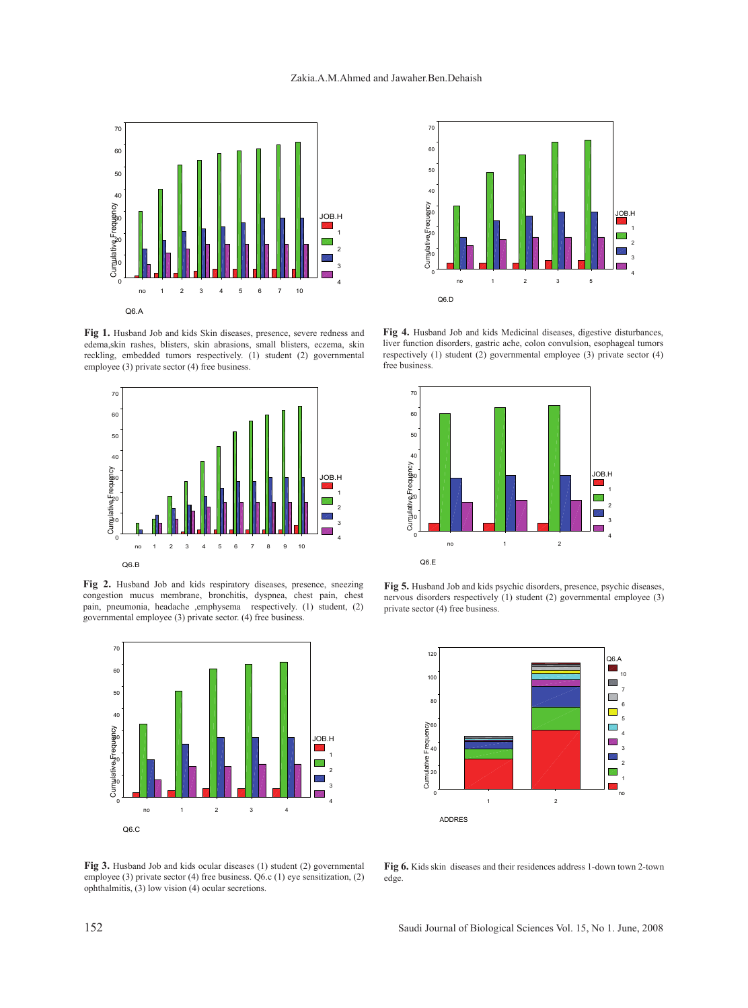#### Zakia.A.M.Ahmed and Jawaher.Ben.Dehaish



Fig 1. Husband Job and kids Skin diseases, presence, severe redness and edema,skin rashes, blisters, skin abrasions, small blisters, eczema, skin reckling, embedded tumors respectively. (1) student (2) governmental employee (3) private sector (4) free business.



Fig 2. Husband Job and kids respiratory diseases, presence, sneezing congestion mucus membrane, bronchitis, dyspnea, chest pain, chest pain, pneumonia, headache ,emphysema respectively. (1) student, (2) governmental employee (3) private sector. (4) free business.



Fig 3. Husband Job and kids ocular diseases (1) student (2) governmental employee (3) private sector (4) free business. Q6.c (1) eye sensitization, (2) ophthalmitis, (3) low vision (4) ocular secretions.



**Fig 4.** Husband Job and kids Medicinal diseases, digestive disturbances, liver function disorders, gastric ache, colon convulsion, esophageal tumors respectively (1) student (2) governmental employee (3) private sector (4) free business.



**Fig 5.** Husband Job and kids psychic disorders, presence, psychic diseases, nervous disorders respectively (1) student (2) governmental employee (3) private sector (4) free business.



**Fig 6.** Kids skin diseases and their residences address 1-down town 2-town edge.

Saudi Journal of Biological Sciences Vol. 15, No 1. June, 2008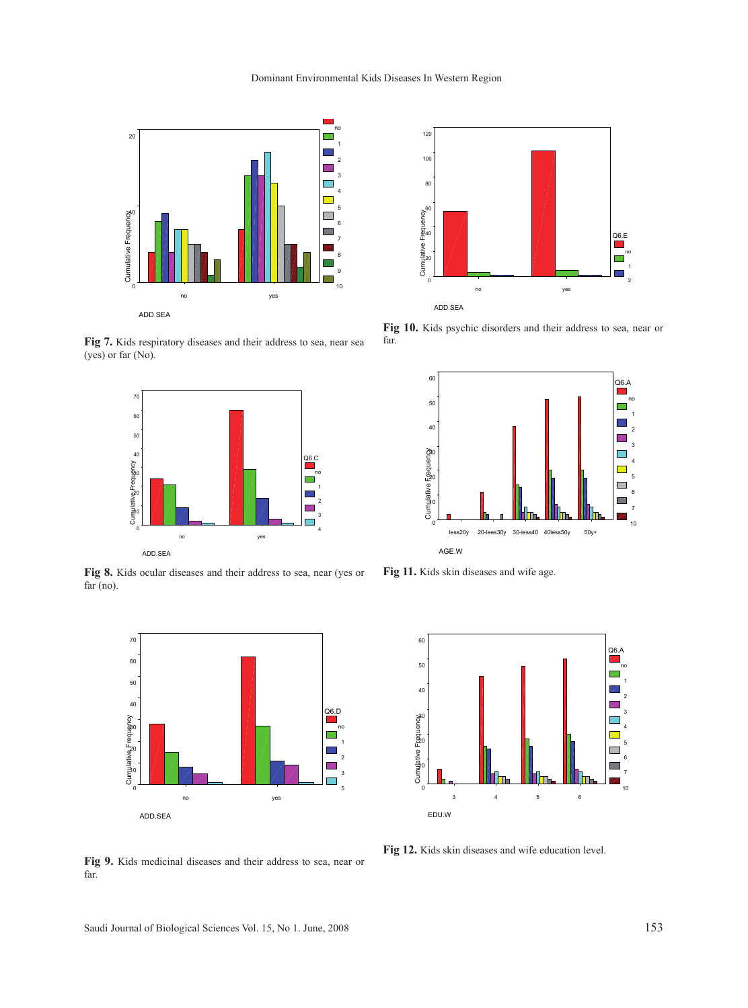

**Fig 7.** Kids respiratory diseases and their address to sea, near sea (yes) or far (No).



**Fig 8.** Kids ocular diseases and their address to sea, near (yes or  $far (no)$ .





**Fig 10.** Kids psychic disorders and their address to sea, near or far.



**Fig 11.** Kids skin diseases and wife age.



**Fig 12.** Kids skin diseases and wife education level.

**Fig 9.** Kids medicinal diseases and their address to sea, near or far.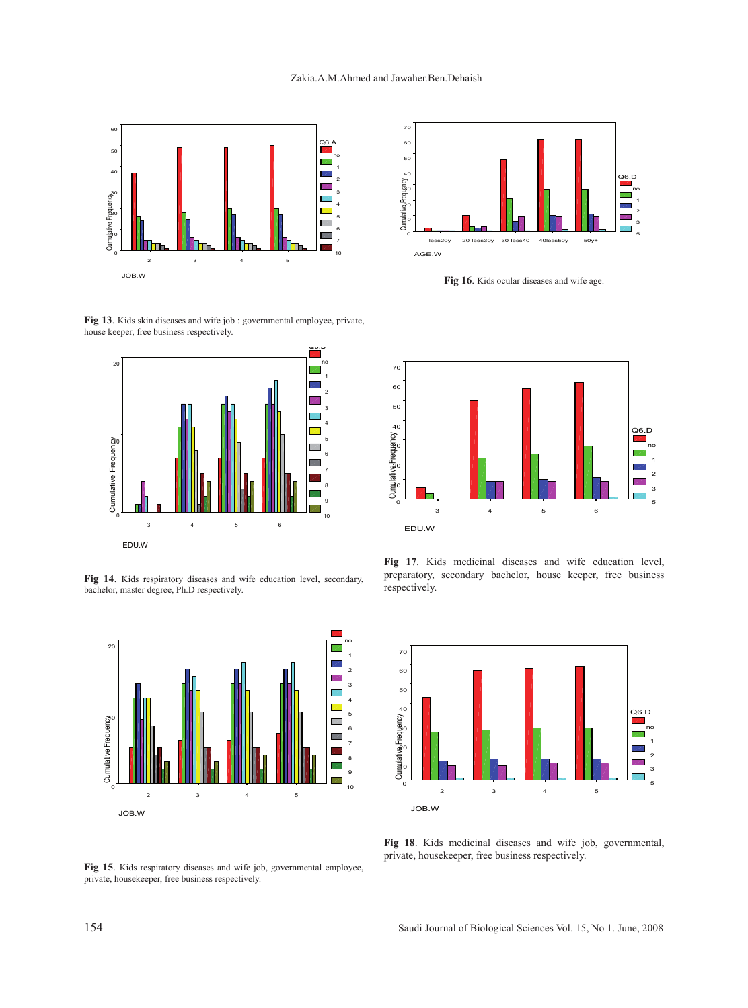

**Fig 13**. Kids skin diseases and wife job : governmental employee, private, house keeper, free business respectively.



**Fig 14**. Kids respiratory diseases and wife education level, secondary, bachelor, master degree, Ph.D respectively.





**Fig 16**. Kids ocular diseases and wife age.



**Fig 17**. Kids medicinal diseases and wife education level, preparatory, secondary bachelor, house keeper, free business respectively.



**Fig 18**. Kids medicinal diseases and wife job, governmental, private, housekeeper, free business respectively.

**Fig 15**. Kids respiratory diseases and wife job, governmental employee, private, housekeeper, free business respectively.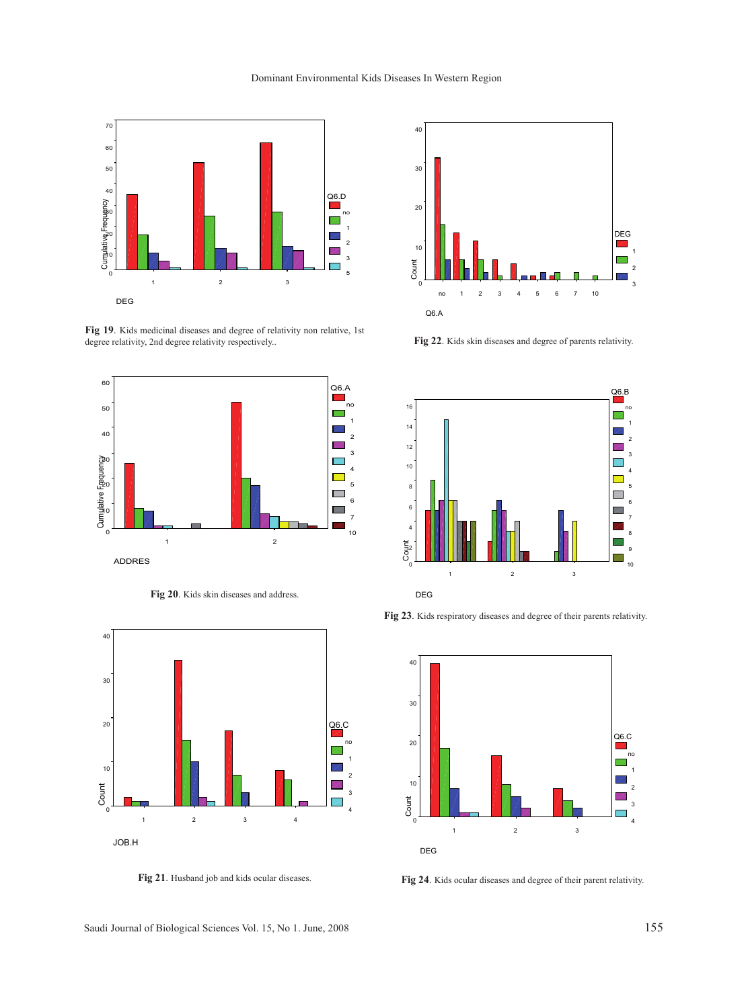

**Fig 19**. Kids medicinal diseases and degree of relativity non relative, 1st degree relativity, 2nd degree relativity respectively..







**Fig 21**. Husband job and kids ocular diseases.



**Fig 22**. Kids skin diseases and degree of parents relativity.



**Fig 23**. Kids respiratory diseases and degree of their parents relativity.



**Fig 24**. Kids ocular diseases and degree of their parent relativity.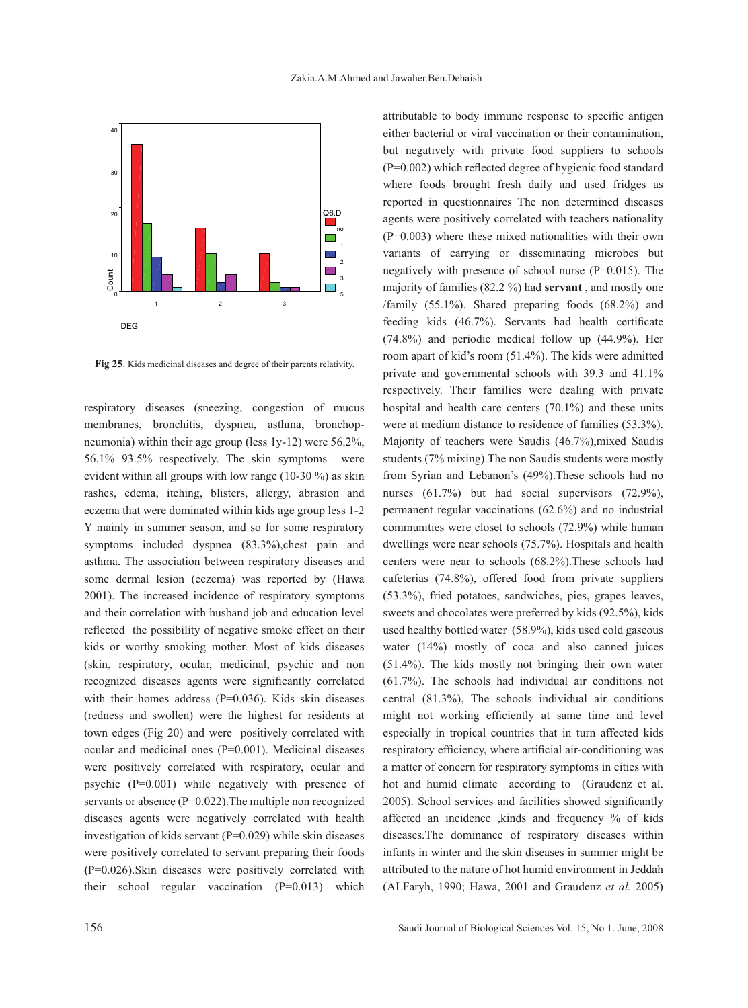

**Fig 25**. Kids medicinal diseases and degree of their parents relativity.

respiratory diseases (sneezing, congestion of mucus membranes, bronchitis, dyspnea, asthma, bronchopneumonia) within their age group (less 1y-12) were 56.2%, 56.1% 93.5% respectively. The skin symptoms were evident within all groups with low range (10-30 %) as skin rashes, edema, itching, blisters, allergy, abrasion and eczema that were dominated within kids age group less 1-2 Y mainly in summer season, and so for some respiratory symptoms included dyspnea (83.3%),chest pain and asthma. The association between respiratory diseases and some dermal lesion (eczema) was reported by (Hawa 2001). The increased incidence of respiratory symptoms and their correlation with husband job and education level reflected the possibility of negative smoke effect on their kids or worthy smoking mother. Most of kids diseases (skin, respiratory, ocular, medicinal, psychic and non recognized diseases agents were significantly correlated with their homes address  $(P=0.036)$ . Kids skin diseases (redness and swollen) were the highest for residents at town edges (Fig 20) and were positively correlated with ocular and medicinal ones (P=0.001). Medicinal diseases were positively correlated with respiratory, ocular and psychic (P=0.001) while negatively with presence of servants or absence (P=0.022). The multiple non recognized diseases agents were negatively correlated with health investigation of kids servant (P=0.029) while skin diseases were positively correlated to servant preparing their foods **(**P=0.026).Skin diseases were positively correlated with their school regular vaccination (P=0.013) which

attributable to body immune response to specific antigen either bacterial or viral vaccination or their contamination, but negatively with private food suppliers to schools (P=0.002) which reflected degree of hygienic food standard where foods brought fresh daily and used fridges as reported in questionnaires The non determined diseases agents were positively correlated with teachers nationality (P=0.003) where these mixed nationalities with their own variants of carrying or disseminating microbes but negatively with presence of school nurse (P=0.015). The majority of families (82.2 %) had **servant** , and mostly one /family (55.1%). Shared preparing foods (68.2%) and feeding kids (46.7%). Servants had health certificate (74.8%) and periodic medical follow up (44.9%). Her room apart of kid's room (51.4%). The kids were admitted private and governmental schools with 39.3 and 41.1% respectively. Their families were dealing with private hospital and health care centers (70.1%) and these units were at medium distance to residence of families (53.3%). Majority of teachers were Saudis (46.7%),mixed Saudis students (7% mixing).The non Saudis students were mostly from Syrian and Lebanon's (49%).These schools had no nurses (61.7%) but had social supervisors (72.9%), permanent regular vaccinations (62.6%) and no industrial communities were closet to schools (72.9%) while human dwellings were near schools (75.7%). Hospitals and health centers were near to schools (68.2%).These schools had cafeterias (74.8%), offered food from private suppliers (53.3%), fried potatoes, sandwiches, pies, grapes leaves, sweets and chocolates were preferred by kids (92.5%), kids used healthy bottled water (58.9%), kids used cold gaseous water (14%) mostly of coca and also canned juices (51.4%). The kids mostly not bringing their own water (61.7%). The schools had individual air conditions not central (81.3%), The schools individual air conditions might not working efficiently at same time and level especially in tropical countries that in turn affected kids respiratory efficiency, where artificial air-conditioning was a matter of concern for respiratory symptoms in cities with hot and humid climate according to (Graudenz et al. 2005). School services and facilities showed significantly affected an incidence ,kinds and frequency % of kids diseases.The dominance of respiratory diseases within infants in winter and the skin diseases in summer might be attributed to the nature of hot humid environment in Jeddah (ALFaryh, 1990; Hawa, 2001 and Graudenz *et al.* 2005)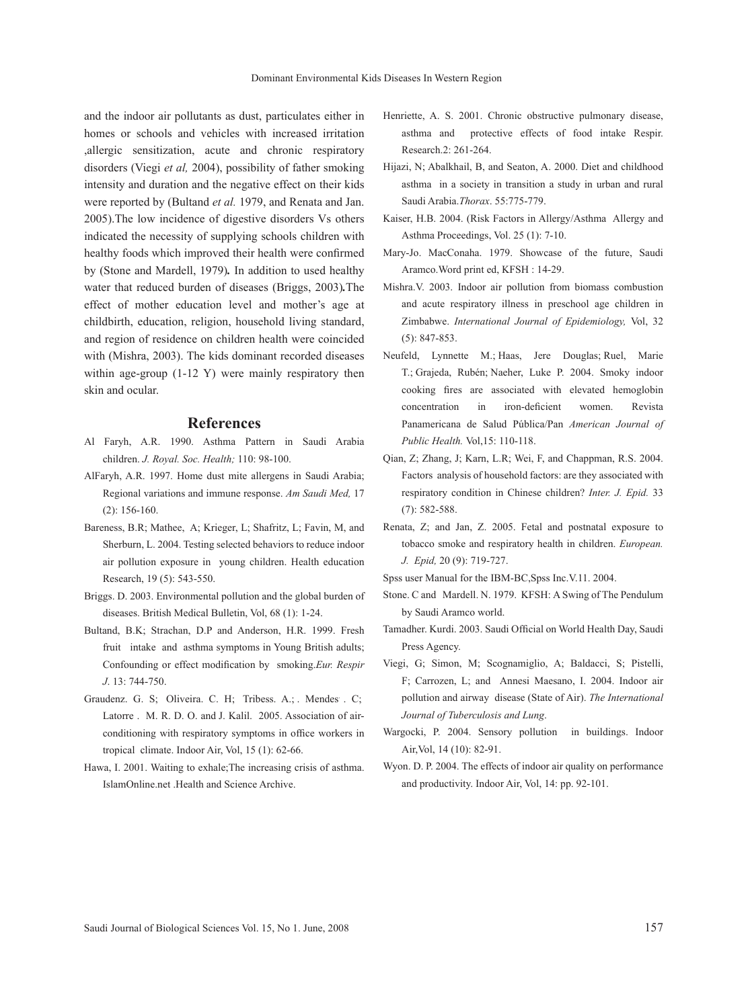and the indoor air pollutants as dust, particulates either in homes or schools and vehicles with increased irritation ,allergic sensitization, acute and chronic respiratory disorders (Viegi *et al,* 2004), possibility of father smoking intensity and duration and the negative effect on their kids were reported by (Bultand *et al.* 1979, and Renata and Jan. 2005).The low incidence of digestive disorders Vs others indicated the necessity of supplying schools children with healthy foods which improved their health were confirmed by (Stone and Mardell, 1979)*.* In addition to used healthy water that reduced burden of diseases (Briggs, 2003)*.*The effect of mother education level and mother's age at childbirth, education, religion, household living standard, and region of residence on children health were coincided with (Mishra, 2003). The kids dominant recorded diseases within age-group (1-12 Y) were mainly respiratory then skin and ocular.

#### **References**

- Al Faryh, A.R. 1990. Asthma Pattern in Saudi Arabia children. *J. Royal. Soc. Health;* 110: 98-100.
- AlFaryh, A.R. 1997. Home dust mite allergens in Saudi Arabia; Regional variations and immune response. *Am Saudi Med,* 17 (2): 156-160.
- Bareness, B.R; Mathee, A; Krieger, L; Shafritz, L; Favin, M, and Sherburn, L. 2004. Testing selected behaviors to reduce indoor air pollution exposure in young children. Health education Research, 19 (5): 543-550.
- Briggs. D. 2003. Environmental pollution and the global burden of diseases. British Medical Bulletin, Vol, 68 (1): 1-24.
- Bultand, B.K; Strachan, D.P and Anderson, H.R. 1999. Fresh fruit intake and asthma symptoms in Young British adults; Confounding or effect modification by smoking.*Eur. Respir J*. 13: 744-750.
- Graudenz. G. S; Oliveira. C. H; Tribess. A.; . Mendes. C; Latorre . M. R. D. O. and J. Kalil. 2005. Association of airconditioning with respiratory symptoms in office workers in tropical climate. Indoor Air, Vol, 15 (1): 62-66.
- Hawa, I. 2001. Waiting to exhale;The increasing crisis of asthma. IslamOnline.net .Health and Science Archive.
- Henriette, A. S. 2001. Chronic obstructive pulmonary disease, asthma and protective effects of food intake Respir. Research.2: 261-264.
- Hijazi, N; Abalkhail, B, and Seaton, A. 2000. Diet and childhood asthma in a society in transition a study in urban and rural Saudi Arabia.*Thorax*. 55:775-779.
- Kaiser, H.B. 2004. (Risk Factors in Allergy/Asthma Allergy and Asthma Proceedings, Vol. 25 (1): 7-10.
- Mary-Jo. MacConaha. 1979. Showcase of the future, Saudi Aramco.Word print ed, KFSH : 14-29.
- Mishra.V. 2003. Indoor air pollution from biomass combustion and acute respiratory illness in preschool age children in Zimbabwe. *International Journal of Epidemiology,* Vol, 32 (5): 847-853.
- Neufeld, Lynnette M.; Haas, Jere Douglas; Ruel, Marie T.; Grajeda, Rubén; Naeher, Luke P. 2004. Smoky indoor cooking fires are associated with elevated hemoglobin concentration in iron-deficient women. Revista Panamericana de Salud Pública/Pan *American Journal of Public Health.* Vol,15: 110-118.
- Qian, Z; Zhang, J; Karn, L.R; Wei, F, and Chappman, R.S. 2004. Factors analysis of household factors: are they associated with respiratory condition in Chinese children? *Inter. J. Epid.* 33 (7): 582-588.
- Renata, Z; and Jan, Z. 2005. Fetal and postnatal exposure to tobacco smoke and respiratory health in children. *European. J. Epid,* 20 (9): 719-727.
- Spss user Manual for the IBM-BC,Spss Inc.V.11. 2004.
- Stone. C and Mardell. N. 1979.KFSH: A Swing of The Pendulum by Saudi Aramco world.
- Tamadher. Kurdi. 2003. Saudi Official on World Health Day, Saudi Press Agency.
- Viegi, G; Simon, M; Scognamiglio, A; Baldacci, S; Pistelli, F; Carrozen, L; and Annesi Maesano, I. 2004. Indoor air pollution and airway disease (State of Air). *The International Journal of Tuberculosis and Lung*.
- Wargocki, P. 2004. Sensory pollution in buildings. Indoor Air,Vol, 14 (10): 82-91.
- Wyon. D. P. 2004. The effects of indoor air quality on performance and productivity. Indoor Air, Vol, 14: pp. 92-101.